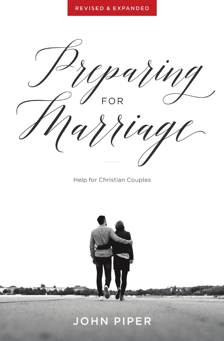#### **REVISED & EXPANDED**



**Help for Christian Couples** 



**JOHN PIPER**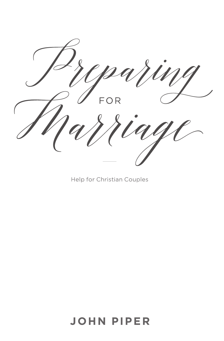

**Help for Christian Couples** 

**JOHN PIPER**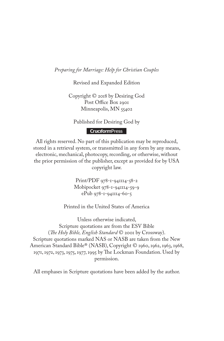*Preparing for Marriage: Help for Christian Couples*

Revised and Expanded Edition

Copyright © 2018 by Desiring God Post Office Box 2901 Minneapolis, MN 55402

Published for Desiring God by

**CruciformPress** 

All rights reserved. No part of this publication may be reproduced, stored in a retrieval system, or transmitted in any form by any means, electronic, mechanical, photocopy, recording, or otherwise, without the prior permission of the publisher, except as provided for by USA copyright law.

> Print/PDF 978-1-941114-58-2 Mobipocket 978-1-941114-59-9 ePub 978-1-941114-60-5

Printed in the United States of America

Unless otherwise indicated, Scripture quotations are from the ESV Bible (*The Holy Bible, English Standard* © 2001 by Crossway). Scripture quotations marked NAS or NASB are taken from the New American Standard Bible® (NASB), Copyright © 1960, 1962, 1963, 1968, 1971, 1972, 1973, 1975, 1977, 1995 by The Lockman Foundation. Used by permission.

All emphases in Scripture quotations have been added by the author.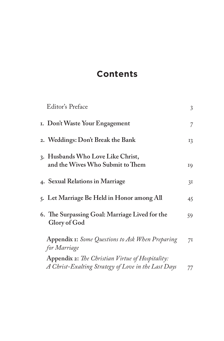# **Contents**

| Editor's Preface                                                                                        | 3              |
|---------------------------------------------------------------------------------------------------------|----------------|
| I. Don't Waste Your Engagement                                                                          | 7              |
| 2. Weddings: Don't Break the Bank                                                                       | 13             |
| 3. Husbands Who Love Like Christ,<br>and the Wives Who Submit to Them                                   | 19             |
| 4. Sexual Relations in Marriage                                                                         | 3 <sup>I</sup> |
| 5. Let Marriage Be Held in Honor among All                                                              | 45             |
| 6. The Surpassing Goal: Marriage Lived for the<br>Glory of God                                          | 59             |
| Appendix 1: Some Questions to Ask When Preparing<br>for Marriage                                        | 7 <sup>I</sup> |
| Appendix 2: The Christian Virtue of Hospitality:<br>A Christ-Exalting Strategy of Love in the Last Days | 77             |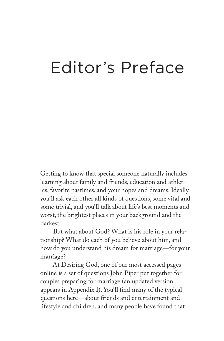# Editor's Preface

Getting to know that special someone naturally includes learning about family and friends, education and athletics, favorite pastimes, and your hopes and dreams. Ideally you'll ask each other all kinds of questions, some vital and some trivial, and you'll talk about life's best moments and worst, the brightest places in your background and the darkest.

But what about God? What is his role in your relationship? What do each of you believe about him, and how do you understand his dream for marriage—for your marriage?

At Desiring God, one of our most accessed pages online is a set of questions John Piper put together for couples preparing for marriage (an updated version appears in Appendix I). You'll find many of the typical questions here—about friends and entertainment and lifestyle and children, and many people have found that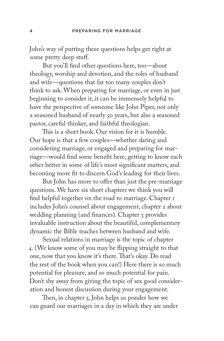John's way of putting these questions helps get right at some pretty deep stuff.

But you'll find other questions here, too—about theology, worship and devotion, and the roles of husband and wife—questions that far too many couples don't think to ask. When preparing for marriage, or even in just beginning to consider it, it can be immensely helpful to have the perspective of someone like John Piper, not only a seasoned husband of nearly 50 years, but also a seasoned pastor, careful thinker, and faithful theologian.

This is a short book. Our vision for it is humble. Our hope is that a few couples—whether dating and considering marriage, or engaged and preparing for marriage—would find some benefit here, getting to know each other better in some of life's most significant matters, and becoming more fit to discern God's leading for their lives.

But John has more to offer than just the pre-marriage questions. We have six short chapters we think you will find helpful together on the road to marriage. Chapter 1 includes John's counsel about engagement, chapter 2 about wedding planning (and finances). Chapter 3 provides invaluable instruction about the beautiful, complementary dynamic the Bible teaches between husband and wife.

Sexual relations in marriage is the topic of chapter 4. (We know some of you may be flipping straight to that one, now that you know it's there. That's okay. Do read the rest of the book when you can!) Here there is so much potential for pleasure, and so much potential for pain. Don't shy away from giving the topic of sex good consideration and honest discussion during your engagement.

Then, in chapter 5, John helps us ponder how we can guard our marriages in a day in which they are under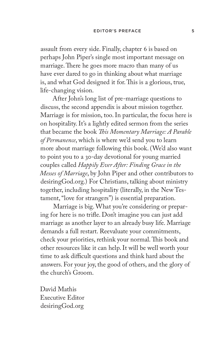assault from every side. Finally, chapter 6 is based on perhaps John Piper's single most important message on marriage. There he goes more macro than many of us have ever dared to go in thinking about what marriage is, and what God designed it for. This is a glorious, true, life-changing vision.

After John's long list of pre-marriage questions to discuss, the second appendix is about mission together. Marriage is for mission, too. In particular, the focus here is on hospitality. It's a lightly edited sermon from the series that became the book *This Momentary Marriage: A Parable of Permanence*, which is where we'd send you to learn more about marriage following this book. (We'd also want to point you to a 30-day devotional for young married couples called *Happily Ever After: Finding Grace in the Messes of Marriage*, by John Piper and other contributors to desiringGod.org.) For Christians, talking about ministry together, including hospitality (literally, in the New Testament, "love for strangers") is essential preparation.

Marriage is big. What you're considering or preparing for here is no trifle. Don't imagine you can just add marriage as another layer to an already busy life. Marriage demands a full restart. Reevaluate your commitments, check your priorities, rethink your normal. This book and other resources like it can help. It will be well worth your time to ask difficult questions and think hard about the answers. For your joy, the good of others, and the glory of the church's Groom.

David Mathis Executive Editor desiringGod.org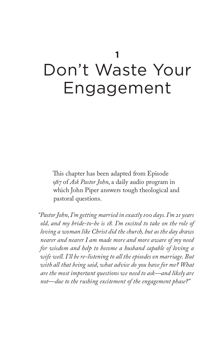# **1** Don't Waste Your Engagement

This chapter has been adapted from Episode 987 of *Ask Pastor John*, a daily audio program in which John Piper answers tough theological and pastoral questions.

*"Pastor John, I'm getting married in exactly 100 days. I'm 21 years old, and my bride-to-be is 18. I'm excited to take on the role of loving a woman like Christ did the church, but as the day draws nearer and nearer I am made more and more aware of my need for wisdom and help to become a husband capable of loving a wife well. I'll be re-listening to all the episodes on marriage. But with all that being said, what advice do you have for me? What are the most important questions we need to ask—and likely are not—due to the rushing excitement of the engagement phase?"*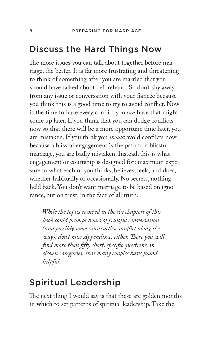### Discuss the Hard Things Now

The more issues you can talk about together before marriage, the better. It is far more frustrating and threatening to think of something after you are married that you should have talked about beforehand. So don't shy away from any issue or conversation with your fiancée because you think this is a good time to try to avoid conflict. Now is the time to have every conflict you *can* have that might come up later. If you think that you can dodge conflicts now so that there will be a more opportune time later, you are mistaken. If you think you *should* avoid conflicts now because a blissful engagement is the path to a blissful marriage, you are badly mistaken. Instead, this is what engagement or courtship is designed for: maximum exposure to what each of you thinks, believes, feels, and does, whether habitually or occasionally. No secrets, nothing held back. You don't want marriage to be based on ignorance, but on trust, in the face of all truth.

*While the topics covered in the six chapters of this book could prompt hours of fruitful conversation (and possibly some constructive conflict along the way), don't miss Appendix 1, either. There you will find more than fifty short, specific questions, in eleven categories, that many couples have found helpful.* 

## Spiritual Leadership

The next thing I would say is that these are golden months in which to set patterns of spiritual leadership. Take the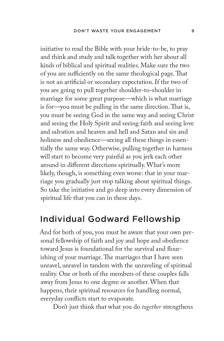initiative to read the Bible with your bride-to-be, to pray and think and study and talk together with her about all kinds of biblical and spiritual realities. Make sure the two of you are sufficiently on the same theological page. That is not an artificial or secondary expectation. If the two of you are going to pull together shoulder-to-shoulder in marriage for some great purpose—which is what marriage is for—you must be pulling in the same direction. That is, you must be seeing God in the same way and seeing Christ and seeing the Holy Spirit and seeing faith and seeing love and salvation and heaven and hell and Satan and sin and holiness and obedience—seeing all these things in essentially the same way. Otherwise, pulling together in harness will start to become very painful as you jerk each other around in different directions spiritually. What's more likely, though, is something even worse: that in your marriage you gradually just stop talking about spiritual things. So take the initiative and go deep into every dimension of spiritual life that you can in these days.

## Individual Godward Fellowship

And for both of you, you must be aware that your own personal fellowship of faith and joy and hope and obedience toward Jesus is foundational for the survival and flourishing of your marriage. The marriages that I have seen unravel, unravel in tandem with the unraveling of spiritual reality. One or both of the members of these couples falls away from Jesus to one degree or another. When that happens, their spiritual resources for handling normal, everyday conflicts start to evaporate.

Don't just think that what you do *together* strengthens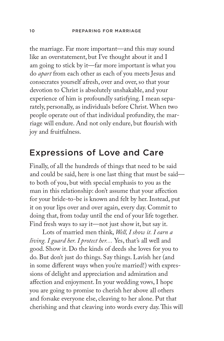the marriage. Far more important—and this may sound like an overstatement, but I've thought about it and I am going to stick by it—far more important is what you do *apart* from each other as each of you meets Jesus and consecrates yourself afresh, over and over, so that your devotion to Christ is absolutely unshakable, and your experience of him is profoundly satisfying. I mean separately, personally, as individuals before Christ. When two people operate out of that individual profundity, the marriage will endure. And not only endure, but flourish with joy and fruitfulness.

### Expressions of Love and Care

Finally, of all the hundreds of things that need to be said and could be said, here is one last thing that must be said to both of you, but with special emphasis to you as the man in this relationship: don't assume that your affection for your bride-to-be is known and felt by her. Instead, put it on your lips over and over again, every day. Commit to doing that, from today until the end of your life together. Find fresh ways to say it—not just show it, but say it.

Lots of married men think, *Well, I show it. I earn a living. I guard her. I protect her…* Yes, that's all well and good. Show it. Do the kinds of deeds she loves for you to do. But don't just do things. Say things. Lavish her (and in some different ways when you're married!) with expressions of delight and appreciation and admiration and affection and enjoyment. In your wedding vows, I hope you are going to promise to cherish her above all others and forsake everyone else, cleaving to her alone. Put that cherishing and that cleaving into words every day. This will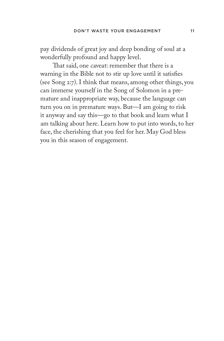pay dividends of great joy and deep bonding of soul at a wonderfully profound and happy level.

That said, one caveat: remember that there is a warning in the Bible not to stir up love until it satisfies (see Song 2:7). I think that means, among other things, you can immerse yourself in the Song of Solomon in a premature and inappropriate way, because the language can turn you on in premature ways. But—I am going to risk it anyway and say this—go to that book and learn what I am talking about here. Learn how to put into words, to her face, the cherishing that you feel for her. May God bless you in this season of engagement.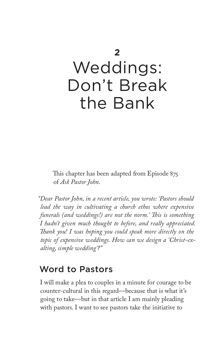# **2** Weddings: Don't Break the Bank

This chapter has been adapted from Episode 875 of *Ask Pastor John*.

*"Dear Pastor John, in a recent article, you wrote: 'Pastors should lead the way in cultivating a church ethos where expensive funerals (and weddings!) are not the norm.' This is something I hadn't given much thought to before, and really appreciated. Thank you! I was hoping you could speak more directly on the topic of expensive weddings. How can we design a 'Christ-exalting, simple wedding'?"*

# Word to Pastors

I will make a plea to couples in a minute for courage to be counter-cultural in this regard—because that is what it's going to take—but in that article I am mainly pleading with pastors. I want to see pastors take the initiative to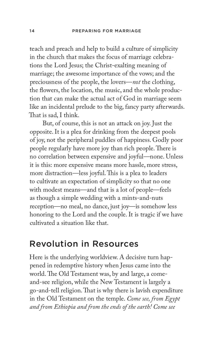teach and preach and help to build a culture of simplicity in the church that makes the focus of marriage celebrations the Lord Jesus; the Christ-exalting meaning of marriage; the awesome importance of the vows; and the preciousness of the people, the lovers—*not* the clothing, the flowers, the location, the music, and the whole production that can make the actual act of God in marriage seem like an incidental prelude to the big, fancy party afterwards. That is sad, I think.

But, of course, this is not an attack on joy. Just the opposite. It is a plea for drinking from the deepest pools of joy, not the peripheral puddles of happiness. Godly poor people regularly have more joy than rich people. There is no correlation between expensive and joyful—none. Unless it is this: more expensive means more hassle, more stress, more distraction—less joyful. This is a plea to leaders to cultivate an expectation of simplicity so that no one with modest means—and that is a lot of people—feels as though a simple wedding with a mints-and-nuts reception—no meal, no dance, just joy—is somehow less honoring to the Lord and the couple. It is tragic if we have cultivated a situation like that.

### Revolution in Resources

Here is the underlying worldview. A decisive turn happened in redemptive history when Jesus came into the world. The Old Testament was, by and large, a comeand-see religion, while the New Testament is largely a go-and-tell religion. That is why there is lavish expenditure in the Old Testament on the temple. *Come see, from Egypt and from Ethiopia and from the ends of the earth! Come see*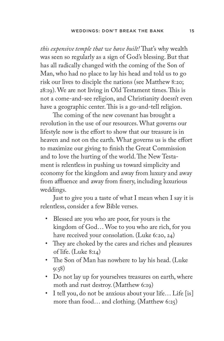*this expensive temple that we have built!* That's why wealth was seen so regularly as a sign of God's blessing. But that has all radically changed with the coming of the Son of Man, who had no place to lay his head and told us to go risk our lives to disciple the nations (see Matthew 8:20; 28:19). We are not living in Old Testament times. This is not a come-and-see religion, and Christianity doesn't even have a geographic center. This is a go-and-tell religion.

The coming of the new covenant has brought a revolution in the use of our resources. What governs our lifestyle now is the effort to show that our treasure is in heaven and not on the earth. What governs us is the effort to maximize our giving to finish the Great Commission and to love the hurting of the world. The New Testament is relentless in pushing us toward simplicity and economy for the kingdom and away from luxury and away from affluence and away from finery, including luxurious weddings.

Just to give you a taste of what I mean when I say it is relentless, consider a few Bible verses.

- Blessed are you who are poor, for yours is the kingdom of God… Woe to you who are rich, for you have received your consolation. (Luke 6:20, 24)
- They are choked by the cares and riches and pleasures of life. (Luke 8:14)
- The Son of Man has nowhere to lay his head. (Luke 9:58)
- Do not lay up for yourselves treasures on earth, where moth and rust destroy. (Matthew 6:19)
- I tell you, do not be anxious about your life... Life [is] more than food… and clothing. (Matthew 6:25)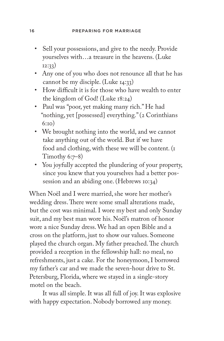- Sell your possessions, and give to the needy. Provide yourselves with…a treasure in the heavens. (Luke 12:33)
- Any one of you who does not renounce all that he has cannot be my disciple. (Luke 14:33)
- How difficult it is for those who have wealth to enter the kingdom of God! (Luke 18:24)
- Paul was "poor, yet making many rich." He had "nothing, yet [possessed] everything." (2 Corinthians 6:10)
- We brought nothing into the world, and we cannot take anything out of the world. But if we have food and clothing, with these we will be content. (1 Timothy  $6:7-8$ )
- You joyfully accepted the plundering of your property, since you knew that you yourselves had a better possession and an abiding one. (Hebrews 10:34)

When Noël and I were married, she wore her mother's wedding dress. There were some small alterations made, but the cost was minimal. I wore my best and only Sunday suit, and my best man wore his. Noël's matron of honor wore a nice Sunday dress. We had an open Bible and a cross on the platform, just to show our values. Someone played the church organ. My father preached. The church provided a reception in the fellowship hall: no meal, no refreshments, just a cake. For the honeymoon, I borrowed my father's car and we made the seven-hour drive to St. Petersburg, Florida, where we stayed in a single-story motel on the beach.

It was all simple. It was all full of joy. It was explosive with happy expectation. Nobody borrowed any money.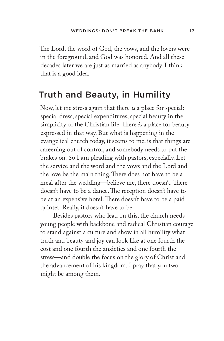The Lord, the word of God, the vows, and the lovers were in the foreground, and God was honored. And all these decades later we are just as married as anybody. I think that is a good idea.

## Truth and Beauty, in Humility

Now, let me stress again that there *is* a place for special: special dress, special expenditures, special beauty in the simplicity of the Christian life. There *is* a place for beauty expressed in that way. But what is happening in the evangelical church today, it seems to me, is that things are careening out of control, and somebody needs to put the brakes on. So I am pleading with pastors, especially. Let the service and the word and the vows and the Lord and the love be the main thing. There does not have to be a meal after the wedding—believe me, there doesn't. There doesn't have to be a dance. The reception doesn't have to be at an expensive hotel. There doesn't have to be a paid quintet. Really, it doesn't have to be.

Besides pastors who lead on this, the church needs young people with backbone and radical Christian courage to stand against a culture and show in all humility what truth and beauty and joy can look like at one fourth the cost and one fourth the anxieties and one fourth the stress—and double the focus on the glory of Christ and the advancement of his kingdom. I pray that you two might be among them.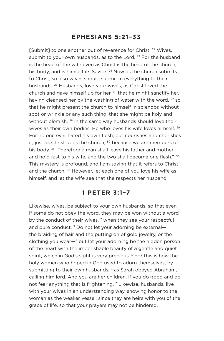#### **EPHESIANS 5:21–33**

[Submit] to one another out of reverence for Christ.<sup>22</sup> Wives, submit to your own husbands, as to the Lord.<sup>23</sup> For the husband is the head of the wife even as Christ is the head of the church, his body, and is himself its Savior. <sup>24</sup> Now as the church submits to Christ, so also wives should submit in everything to their husbands. 25 Husbands, love your wives, as Christ loved the church and gave himself up for her, <sup>26</sup> that he might sanctify her, having cleansed her by the washing of water with the word, <sup>27</sup> so that he might present the church to himself in splendor, without spot or wrinkle or any such thing, that she might be holy and without blemish. <sup>28</sup> In the same way husbands should love their wives as their own bodies. He who loves his wife loves himself. <sup>29</sup> For no one ever hated his own flesh, but nourishes and cherishes it, just as Christ does the church, <sup>30</sup> because we are members of his body. <sup>31</sup> "Therefore a man shall leave his father and mother and hold fast to his wife, and the two shall become one flesh." 32 This mystery is profound, and I am saying that it refers to Christ and the church. <sup>33</sup> However, let each one of you love his wife as himself, and let the wife see that she respects her husband.

#### **1 PETER 3:1–7**

Likewise, wives, be subject to your own husbands, so that even if some do not obey the word, they may be won without a word by the conduct of their wives, <sup>2</sup> when they see your respectful and pure conduct.  $3$  Do not let your adorning be externalthe braiding of hair and the putting on of gold jewelry, or the clothing you wear—4 but let your adorning be the hidden person of the heart with the imperishable beauty of a gentle and quiet spirit, which in God's sight is very precious.<sup>5</sup> For this is how the holy women who hoped in God used to adorn themselves, by submitting to their own husbands, <sup>6</sup> as Sarah obeyed Abraham, calling him lord. And you are her children, if you do good and do not fear anything that is frightening. <sup>7</sup> Likewise, husbands, live with your wives in an understanding way, showing honor to the woman as the weaker vessel, since they are heirs with you of the grace of life, so that your prayers may not be hindered.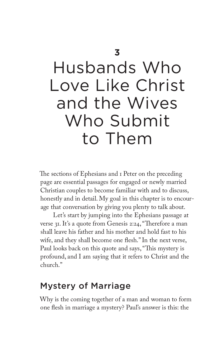# Husbands Who Love Like Christ and the Wives Who Submit to Them

The sections of Ephesians and I Peter on the preceding page are essential passages for engaged or newly married Christian couples to become familiar with and to discuss, honestly and in detail. My goal in this chapter is to encourage that conversation by giving you plenty to talk about.

Let's start by jumping into the Ephesians passage at verse 31. It's a quote from Genesis 2:24, "Therefore a man shall leave his father and his mother and hold fast to his wife, and they shall become one flesh." In the next verse, Paul looks back on this quote and says, "This mystery is profound, and I am saying that it refers to Christ and the church."

# Mystery of Marriage

Why is the coming together of a man and woman to form one flesh in marriage a mystery? Paul's answer is this: the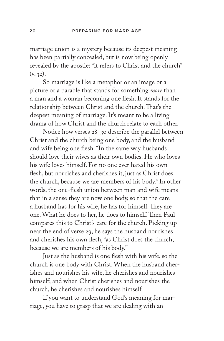marriage union is a mystery because its deepest meaning has been partially concealed, but is now being openly revealed by the apostle: "it refers to Christ and the church"  $(v. 32)$ .

So marriage is like a metaphor or an image or a picture or a parable that stands for something *more* than a man and a woman becoming one flesh. It stands for the relationship between Christ and the church. That's the deepest meaning of marriage. It's meant to be a living drama of how Christ and the church relate to each other.

Notice how verses 28–30 describe the parallel between Christ and the church being one body, and the husband and wife being one flesh. "In the same way husbands should love their wives as their own bodies. He who loves his wife loves himself. For no one ever hated his own flesh, but nourishes and cherishes it, just as Christ does the church, because we are members of his body." In other words, the one-flesh union between man and wife means that in a sense they are now one body, so that the care a husband has for his wife, he has for himself. They are one. What he does to her, he does to himself. Then Paul compares this to Christ's care for the church. Picking up near the end of verse 29, he says the husband nourishes and cherishes his own flesh, "as Christ does the church, because we are members of his body."

Just as the husband is one flesh with his wife, so the church is one body with Christ. When the husband cherishes and nourishes his wife, he cherishes and nourishes himself; and when Christ cherishes and nourishes the church, he cherishes and nourishes himself.

If you want to understand God's meaning for marriage, you have to grasp that we are dealing with an